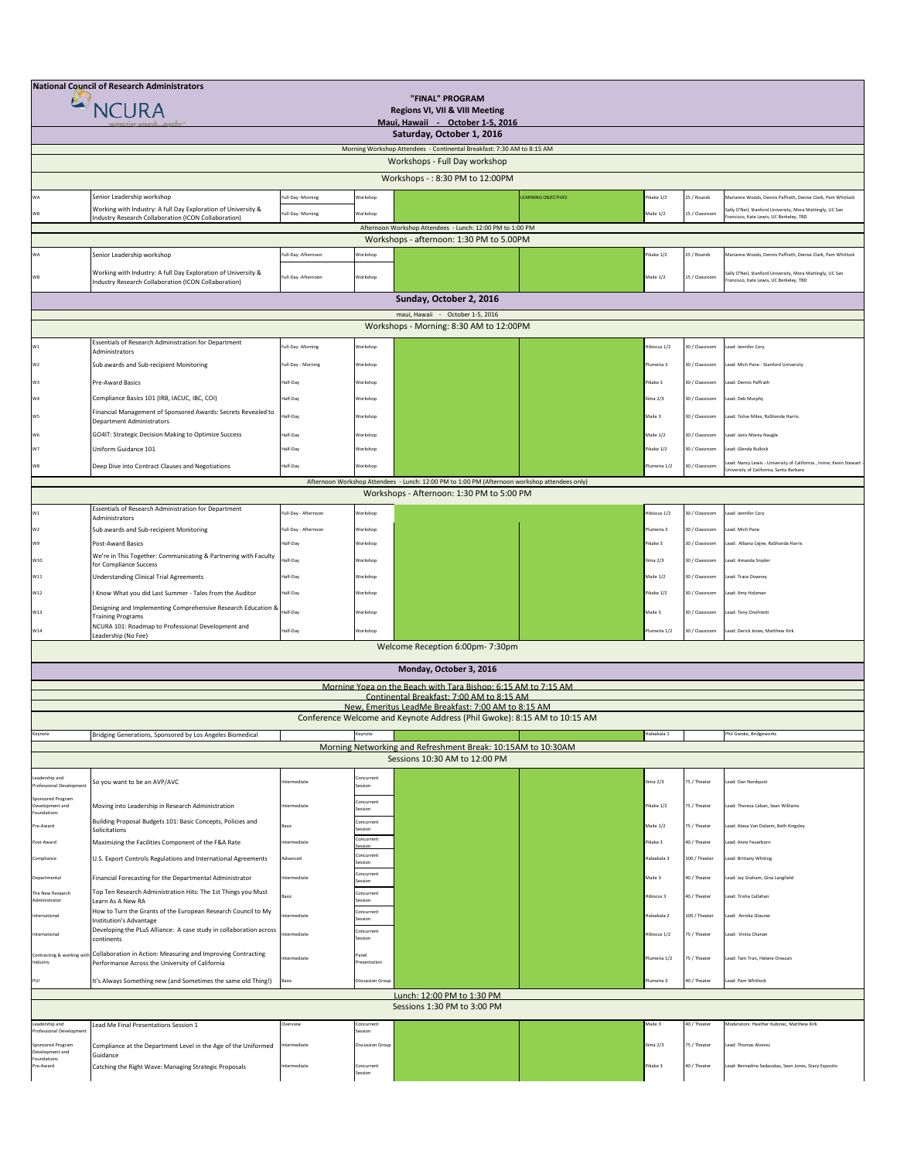| <b>National Council of Research Administrators</b>                                                                                                                              |                                                                                                                       |                                              |                             |                                                                                                                                            |                           |              |                |                                                                                                     |  |
|---------------------------------------------------------------------------------------------------------------------------------------------------------------------------------|-----------------------------------------------------------------------------------------------------------------------|----------------------------------------------|-----------------------------|--------------------------------------------------------------------------------------------------------------------------------------------|---------------------------|--------------|----------------|-----------------------------------------------------------------------------------------------------|--|
| "FINAL" PROGRAM<br>NCURA                                                                                                                                                        |                                                                                                                       |                                              |                             |                                                                                                                                            |                           |              |                |                                                                                                     |  |
| Regions VI, VII & VIII Meeting<br>Maui, Hawaii - October 1-5, 2016                                                                                                              |                                                                                                                       |                                              |                             |                                                                                                                                            |                           |              |                |                                                                                                     |  |
| Saturday, October 1, 2016                                                                                                                                                       |                                                                                                                       |                                              |                             |                                                                                                                                            |                           |              |                |                                                                                                     |  |
| Morning Workshop Attendees - Continental Breakfast: 7:30 AM to 8:15 AM                                                                                                          |                                                                                                                       |                                              |                             |                                                                                                                                            |                           |              |                |                                                                                                     |  |
| Workshops - Full Day workshop                                                                                                                                                   |                                                                                                                       |                                              |                             |                                                                                                                                            |                           |              |                |                                                                                                     |  |
|                                                                                                                                                                                 |                                                                                                                       |                                              |                             | Workshops -: 8:30 PM to 12:00PM                                                                                                            |                           |              |                |                                                                                                     |  |
|                                                                                                                                                                                 | Senior Leadership workshop                                                                                            | ull-Day -Morning                             | <b>rorkshop</b>             |                                                                                                                                            | <b>EARNING OBJECTIVES</b> | ikake 1/2    | 25 / Rounds    | Aarianne Woods, Dennis Paffrath, Denise Clark, Pam Whitlock                                         |  |
|                                                                                                                                                                                 | Working with Industry: A full Day Exploration of University &<br>Industry Research Collaboration (ICON Collaboration) | Full-Day -Morning                            | orkshop                     |                                                                                                                                            |                           | Maile 1/2    | 15 / Classroom | Sally O'Neil, Stanford University, Mora Mattingly, UC San<br>rancisco, Kate Lewis, UC Berkeley, TBD |  |
|                                                                                                                                                                                 |                                                                                                                       |                                              |                             | Afternoon Workshop Attendees - Lunch: 12:00 PM to 1:00 PM                                                                                  |                           |              |                |                                                                                                     |  |
| WA                                                                                                                                                                              | Senior Leadership workshop                                                                                            | ull-Day -Afternoon                           | orkshop                     | Workshops - afternoon: 1:30 PM to 5.00PM                                                                                                   |                           | ikake 1/2    | 25 / Rounds    | Aarianne Woods, Dennis Paffrath, Denise Clark, Pam Whitlock                                         |  |
|                                                                                                                                                                                 |                                                                                                                       |                                              |                             |                                                                                                                                            |                           |              |                |                                                                                                     |  |
| WB                                                                                                                                                                              | Working with Industry: A full Day Exploration of University &<br>Industry Research Collaboration (ICON Collaboration) | Full-Day - Afternoon                         | Vorkshop                    |                                                                                                                                            |                           | Maile 1/2    | 15 / Classroom | Sally O'Neil. Stanford University, Mora Mattingly, UC San<br>ancisco, Kate Lewis, UC Berkeley, TBD  |  |
|                                                                                                                                                                                 |                                                                                                                       |                                              |                             | Sunday, October 2, 2016                                                                                                                    |                           |              |                |                                                                                                     |  |
|                                                                                                                                                                                 |                                                                                                                       |                                              |                             | maui, Hawaii - October 1-5, 2016                                                                                                           |                           |              |                |                                                                                                     |  |
|                                                                                                                                                                                 |                                                                                                                       |                                              |                             | Workshops - Morning: 8:30 AM to 12:00PM                                                                                                    |                           |              |                |                                                                                                     |  |
| W1                                                                                                                                                                              | Essentials of Research Administration for Department<br>Administrators                                                | ull-Day -Morning                             | orkshop                     |                                                                                                                                            |                           | ibiscus 1/2  | 30 / Classroom | ead: Jennifer Cory                                                                                  |  |
| W2                                                                                                                                                                              | Sub awards and Sub-recipient Monitoring                                                                               | ull-Day - Morning                            | <b>rorkshop</b>             |                                                                                                                                            |                           | lumeria 3    | 30 / Classroom | ead: Mich Pane - Stanford University                                                                |  |
| W3                                                                                                                                                                              | Pre-Award Basics                                                                                                      | Half-Day                                     | <b>rorkshop</b>             |                                                                                                                                            |                           | likake 3     | 30 / Classroom | ead: Dennis Paffrath                                                                                |  |
| W4                                                                                                                                                                              | Compliance Basics 101 (IRB, IACUC, IBC, COI)                                                                          | Half-Day                                     | Norkshop                    |                                                                                                                                            |                           | Ilima 2/3    | 30 / Classroom | ead: Deb Murnhy                                                                                     |  |
|                                                                                                                                                                                 | Financial Management of Sponsored Awards: Secrets Revealed to                                                         | Half-Day                                     |                             |                                                                                                                                            |                           |              |                |                                                                                                     |  |
| W5                                                                                                                                                                              | Department Administrators                                                                                             |                                              | Vorkshop                    |                                                                                                                                            |                           | Maile 3      | 30 / Classroom | Lead: Tolise Miles, RaShonda Harris                                                                 |  |
| W6                                                                                                                                                                              | GO4IT: Strategic Decision Making to Optimize Success<br>Uniform Guidance 101                                          | Half-Day<br>Half-Day                         | Vorkshop                    |                                                                                                                                            |                           | Maile 1/2    | 30 / Classroom | ead: Janis Morey Naugle                                                                             |  |
| W7                                                                                                                                                                              |                                                                                                                       |                                              | Workshop                    |                                                                                                                                            |                           | Pikake 1/2   | 30 / Classroom | ead: Glenda Bullock<br>ead: Nancy Lewis - University of California, Irvine; Kevin Stewart           |  |
| W8                                                                                                                                                                              | Deep Dive into Contract Clauses and Negotiations                                                                      | Half-Day                                     | orkshop                     |                                                                                                                                            |                           | lumeria 1/2  | 30 / Classroom | niversity of California, Santa Barbara                                                              |  |
|                                                                                                                                                                                 |                                                                                                                       |                                              |                             | Afternoon Workshop Attendees - Lunch: 12:00 PM to 1:00 PM (Afternoon workshop attendees only)<br>Workshops - Afternoon: 1:30 PM to 5:00 PM |                           |              |                |                                                                                                     |  |
| W1                                                                                                                                                                              | <b>Essentials of Research Administration for Department</b>                                                           |                                              |                             |                                                                                                                                            |                           | libiscus 1/2 | 30 / Classroom |                                                                                                     |  |
| W <sub>2</sub>                                                                                                                                                                  | Administrators<br>Sub awards and Sub-recipient Monitoring                                                             | Full-Day - Afternoon<br>Full-Day - Afternoon | Vorkshop<br>Vorkshop        |                                                                                                                                            |                           | Iumeria 3    | 30 / Classroom | ead: Jennifer Cory<br>ead: Mich Pane                                                                |  |
| W9                                                                                                                                                                              | Post-Award Basics                                                                                                     | Half-Day                                     | Norkshop                    |                                                                                                                                            |                           | Pikake 3     | 30 / Classroom | Lead: Albana Cejne, RaShonda Harris                                                                 |  |
| W10                                                                                                                                                                             | We're in This Together: Communicating & Partnering with Faculty                                                       | Half-Day                                     | Vorkshop                    |                                                                                                                                            |                           | lima 2/3     | 30 / Classroom | Lead: Amanda Snyder                                                                                 |  |
| W11                                                                                                                                                                             | for Compliance Success<br><b>Understanding Clinical Trial Agreements</b>                                              | Half-Day                                     | Vorkshop                    |                                                                                                                                            |                           | Maile 1/2    | 30 / Classroom | ead: Trace Downey                                                                                   |  |
| W12                                                                                                                                                                             | Know What you did Last Summer - Tales from the Auditor                                                                | Half-Day                                     | Vorkshop                    |                                                                                                                                            |                           | lkake 1/2    | 30 / Classroom | ead: Amy Holzman                                                                                    |  |
|                                                                                                                                                                                 | Designing and Implementing Comprehensive Research Education &                                                         |                                              |                             |                                                                                                                                            |                           |              |                |                                                                                                     |  |
| W13                                                                                                                                                                             | <b>Training Programs</b>                                                                                              | Half-Day                                     | <b>Norkshop</b>             |                                                                                                                                            |                           | Maile 3      | 30 / Classroom | Lead: Tony Onofrietti                                                                               |  |
| W14                                                                                                                                                                             | NCURA 101: Roadmap to Professional Development and<br>Leadership (No Fee)                                             | Half-Day                                     | Vorkshop                    |                                                                                                                                            |                           | lumeria 1/2  | 30 / Classroom | ead: Derick Jones, Matthew Kirk                                                                     |  |
|                                                                                                                                                                                 |                                                                                                                       |                                              |                             | Welcome Reception 6:00pm-7:30pm                                                                                                            |                           |              |                |                                                                                                     |  |
|                                                                                                                                                                                 |                                                                                                                       |                                              |                             | Monday, October 3, 2016                                                                                                                    |                           |              |                |                                                                                                     |  |
|                                                                                                                                                                                 |                                                                                                                       |                                              |                             | Morning Yoga on the Beach with Tara Bishop: 6:15 AM to 7:15 AM                                                                             |                           |              |                |                                                                                                     |  |
|                                                                                                                                                                                 |                                                                                                                       |                                              |                             | Continental Breakfast: 7:00 AM to 8:15 AM<br>New, Emeritus LeadMe Breakfast: 7:00 AM to 8:15 AM                                            |                           |              |                |                                                                                                     |  |
|                                                                                                                                                                                 |                                                                                                                       |                                              |                             | Conference Welcome and Keynote Address (Phil Gwoke): 8:15 AM to 10:15 AM                                                                   |                           |              |                |                                                                                                     |  |
| ynote                                                                                                                                                                           | Bridging Generations, Sponsored by Los Angeles Biomedica                                                              |                                              | eynote                      |                                                                                                                                            |                           |              |                | 111 Gwoke, Bridgeworks                                                                              |  |
|                                                                                                                                                                                 |                                                                                                                       |                                              |                             | Morning Networking and Refreshment Break: 10:15AM to 10:30AM                                                                               |                           |              |                |                                                                                                     |  |
|                                                                                                                                                                                 |                                                                                                                       |                                              |                             | Sessions 10:30 AM to 12:00 PM                                                                                                              |                           |              |                |                                                                                                     |  |
| Leadership and<br>Professional Develon                                                                                                                                          | So you want to be an AVP/AVC                                                                                          | ntermediate                                  | oncurrent<br>ession         |                                                                                                                                            |                           | lima 2/3     | 75 / Theater   | Lead: Dan Nordquist                                                                                 |  |
| Sponsored Program                                                                                                                                                               |                                                                                                                       |                                              | concurrent                  |                                                                                                                                            |                           |              |                |                                                                                                     |  |
| Development and<br>Foundations                                                                                                                                                  | Moving into Leadership in Research Administration                                                                     | Intermediate                                 | ession                      |                                                                                                                                            |                           | Pikake 1/2   | 75 / Theater   | ead: Theresa Caban, Sean Williams                                                                   |  |
| Pre-Award                                                                                                                                                                       | Building Proposal Budgets 101: Basic Concepts, Policies and<br>Solicitations                                          | Basic                                        | oncurrent<br>ession         |                                                                                                                                            |                           | Maile 1/2    | 75 / Theater   | ead: Alexa Van Dalsem, Beth Kingsley                                                                |  |
| Post-Award                                                                                                                                                                      | Maximizing the Facilities Component of the F&A Rate                                                                   | Intermediate                                 | oncurrent<br>ession         |                                                                                                                                            |                           | Pikake 3     | 40 / Theater   | Lead: Anne Feuerborn                                                                                |  |
| Compliance                                                                                                                                                                      | U.S. Export Controls Regulations and International Agreements                                                         | Advanced                                     | <b>Concurrent</b><br>ession |                                                                                                                                            |                           | Haleakala 3  | 100 / Theater  | Lead: Brittany Whiting                                                                              |  |
| Departmental                                                                                                                                                                    | Financial Forecasting for the Departmental Administrator                                                              | Intermediate                                 | ncurrent<br>ssion           |                                                                                                                                            |                           | Maile 3      | 40 / Theater   | Lead: Jay Graham, Gina Langfield                                                                    |  |
| The New Research<br>Administrator                                                                                                                                               | Top Ten Research Administration Hits: The 1st Things you Must<br>Learn As A New RA                                    | Basic                                        | oncurrent<br>ssinr          |                                                                                                                                            |                           | libiscus 3   | 40 / Theater   | ead: Trisha Callahan                                                                                |  |
| International                                                                                                                                                                   | How to Turn the Grants of the European Research Council to My                                                         | Intermediate                                 | concurrent                  |                                                                                                                                            |                           | Haleakala 2  | 100 / Theater  | Lead: Annika Glauner                                                                                |  |
|                                                                                                                                                                                 | Institution's Advantage<br>Developing the PLuS Alliance: A case study in collaboration across                         |                                              | ession<br>oncurrent         |                                                                                                                                            |                           |              |                |                                                                                                     |  |
| International                                                                                                                                                                   | continents                                                                                                            | Intermediate                                 | ession                      |                                                                                                                                            |                           | Hibiscus 1/2 | 75 / Theater   | ead: Vinita Chanan                                                                                  |  |
| Contracting & working w<br>ndustry                                                                                                                                              | Collaboration in Action: Measuring and Improving Contracting<br>Performance Across the University of California       | Intermediate                                 | anel<br>resentation         |                                                                                                                                            |                           | Plumeria 1/2 | 75 / Theater   | ead: Tam Tran, Helene Orescan                                                                       |  |
|                                                                                                                                                                                 |                                                                                                                       |                                              |                             |                                                                                                                                            |                           |              |                |                                                                                                     |  |
| It's Always Something new (and Sometimes the same old Thing!)<br>40 / Theater<br>ead: Pam Whitlock<br>PUI<br>Basic<br>iscussion Grou<br>Iumeria 3<br>Lunch: 12:00 PM to 1:30 PM |                                                                                                                       |                                              |                             |                                                                                                                                            |                           |              |                |                                                                                                     |  |
| Sessions 1:30 PM to 3:00 PM                                                                                                                                                     |                                                                                                                       |                                              |                             |                                                                                                                                            |                           |              |                |                                                                                                     |  |
| Leadership and                                                                                                                                                                  | Lead Me Final Presentations Session 1                                                                                 | Jverview                                     | ioncurrent                  |                                                                                                                                            |                           | Maile 3      | 10 / Theater   | Aoderators: Heather Kubinec, Matthew Kirk                                                           |  |
| Professional Develope<br>Sponsored Program                                                                                                                                      |                                                                                                                       | Intermediate                                 | ession<br>Discussion Group  |                                                                                                                                            |                           | Ilima 2/3    | 75 / Theater   | ead: Thomas Alverez                                                                                 |  |
| Development and<br>Foundations                                                                                                                                                  | Compliance at the Department Level in the Age of the Uniformed<br>Guidance                                            |                                              |                             |                                                                                                                                            |                           |              |                |                                                                                                     |  |
| Pre-Award                                                                                                                                                                       | Catching the Right Wave: Managing Strategic Proposals                                                                 | Intermediate                                 | Concurrent<br>Session       |                                                                                                                                            |                           | ikake 3      | 40 / Theater   | Lead: Bernadine Sadauskas, Sean Jones, Stacy Esposito                                               |  |
|                                                                                                                                                                                 |                                                                                                                       |                                              |                             |                                                                                                                                            |                           |              |                |                                                                                                     |  |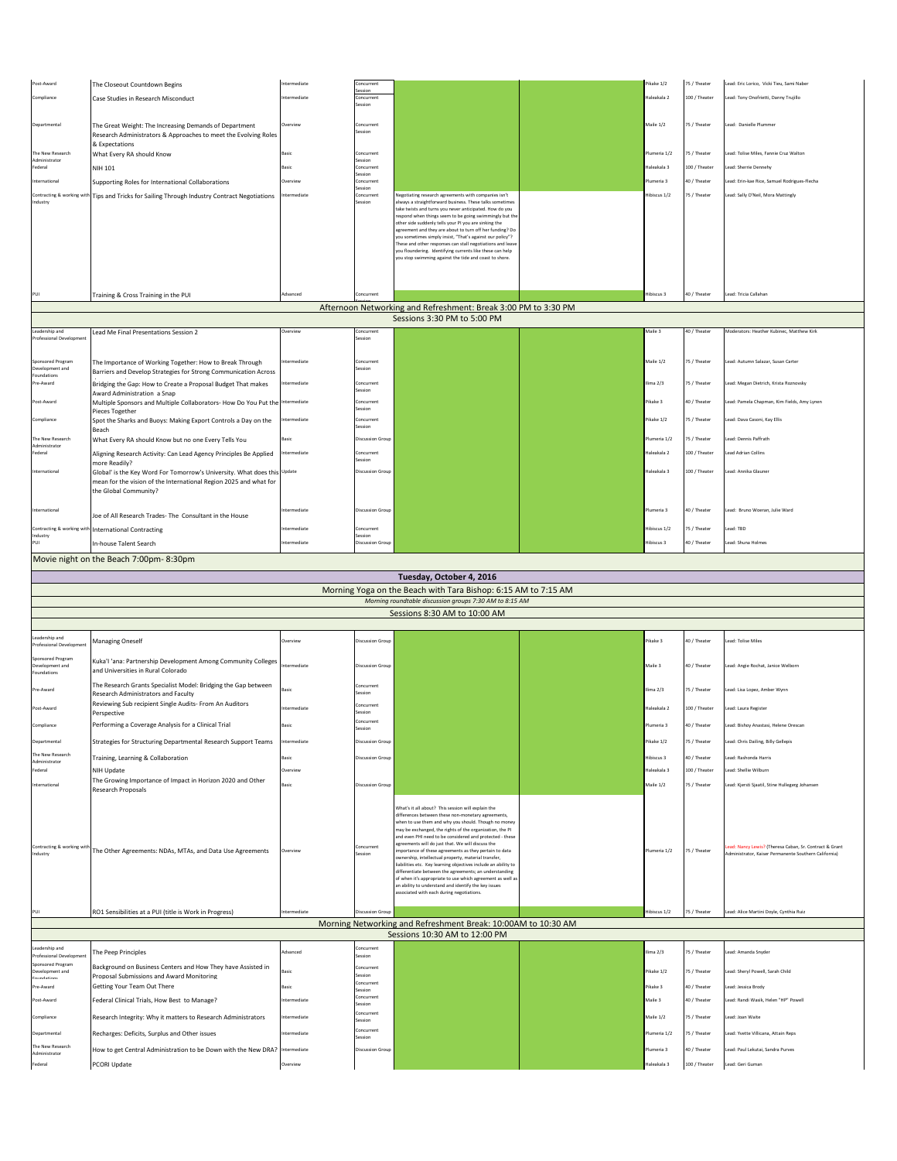| Post-Award                                | The Closeout Countdown Begins                                                                    | Intermediate | oncurrent                         |                                                                                                                          | Pikake 1/2           | 75 / Theater  | Lead: Eric Lorico, Vicki Tieu, Sami Naber               |
|-------------------------------------------|--------------------------------------------------------------------------------------------------|--------------|-----------------------------------|--------------------------------------------------------------------------------------------------------------------------|----------------------|---------------|---------------------------------------------------------|
| <b>ompliance</b>                          |                                                                                                  | Intermediate | ession<br>Concurrent              |                                                                                                                          | Haleakala 2          | 100 / Theater | Lead: Tony Onofrietti, Danny Trujillo                   |
|                                           | Case Studies in Research Misconduct                                                              |              | ession                            |                                                                                                                          |                      |               |                                                         |
|                                           |                                                                                                  |              |                                   |                                                                                                                          |                      |               |                                                         |
| epartmental                               | The Great Weight: The Increasing Demands of Department                                           | Dverview     | oncurrent<br>ession               |                                                                                                                          | Maile 1/2            | 75 / Theater  | ead: Danielle Plummer                                   |
|                                           | Research Administrators & Approaches to meet the Evolving Roles<br>& Expectations                |              |                                   |                                                                                                                          |                      |               |                                                         |
| The New Research                          | What Every RA should Know                                                                        | Basic        | ioncurrent                        |                                                                                                                          | Plumeria 1/2         | 75 / Theater  | Lead: Tolise Miles, Fannie Cruz Walton                  |
| dministrator<br>Federal                   | <b>NIH 101</b>                                                                                   | Basic        | Session<br>ioncurrent             |                                                                                                                          | Haleakala 3          | 100 / Theater | Lead: Sherrie Dennehy                                   |
| nternational                              | Supporting Roles for International Collaborations                                                | Overview     | Session<br>Concurrent             |                                                                                                                          | Plumeria 3           | 40 / Theater  | Lead: Erin-kae Rice, Samuel Rodrigues-Flecha            |
| Contracting & working wit                 |                                                                                                  | ntermediate  | Session<br>Concurrent             | egotiating research agreements with companies isn't                                                                      | libiscus 1/2         | 75 / Theater  | Lead: Sally O'Neil, Mora Mattingly                      |
| ndustry                                   | Tips and Tricks for Sailing Through Industry Contract Negotiations                               |              | ession                            | always a straightforward business. These talks sometimes                                                                 |                      |               |                                                         |
|                                           |                                                                                                  |              |                                   | take twists and turns you never anticipated. How do you<br>respond when things seem to be going swimmingly but th        |                      |               |                                                         |
|                                           |                                                                                                  |              |                                   | other side suddenly tells your PI you are sinking the<br>agreement and they are about to turn off her funding? Do        |                      |               |                                                         |
|                                           |                                                                                                  |              |                                   | you sometimes simply insist, "That's against our policy"?<br>These and other responses can stall negotiations and leav-  |                      |               |                                                         |
|                                           |                                                                                                  |              |                                   | you floundering. Identifying currents like these can help                                                                |                      |               |                                                         |
|                                           |                                                                                                  |              |                                   | you stop swimming against the tide and coast to shore.                                                                   |                      |               |                                                         |
|                                           |                                                                                                  |              |                                   |                                                                                                                          |                      |               |                                                         |
|                                           |                                                                                                  |              |                                   |                                                                                                                          |                      |               |                                                         |
|                                           | Training & Cross Training in the PUI                                                             | Advanced     | ioncurrent                        |                                                                                                                          | libiscus 3           | 40 / Theater  | ead: Tricia Callahar                                    |
|                                           |                                                                                                  |              |                                   | Afternoon Networking and Refreshment: Break 3:00 PM to 3:30 PM                                                           |                      |               |                                                         |
|                                           |                                                                                                  |              |                                   | Sessions 3:30 PM to 5:00 PM                                                                                              |                      |               |                                                         |
| Leadership and<br>Professional Developmer | Lead Me Final Presentations Session 2                                                            | Jverview     | Concurrent<br>Session             |                                                                                                                          | Maile 3              | 40 / Theater  | Moderators: Heather Kubinec, Matthew Kirk               |
|                                           |                                                                                                  |              |                                   |                                                                                                                          |                      |               |                                                         |
| Sponsored Program                         | The Importance of Working Together: How to Break Through                                         | Intermediate | Concurrent                        |                                                                                                                          | Maile 1/2            | 75 / Theater  | Lead: Autumn Salazar, Susan Carter                      |
| Development and<br>oundation:             | Barriers and Develop Strategies for Strong Communication Across                                  |              | Session                           |                                                                                                                          |                      |               |                                                         |
| Pre-Award                                 | Bridging the Gap: How to Create a Proposal Budget That makes                                     | Intermediate | Concurrent                        |                                                                                                                          | Ilima 2/3            | 75 / Theater  | Lead: Megan Dietrich, Krista Roznovsky                  |
|                                           | Award Administration a Snap                                                                      |              | ession<br>Concurrent              |                                                                                                                          | Pikake 3             |               | Lead: Pamela Chapman, Kim Fields, Amy Lynen             |
| Post-Award                                | Multiple Sponsors and Multiple Collaborators- How Do You Put the Intermediate<br>Pieces Together |              | ession                            |                                                                                                                          |                      | 40 / Theater  |                                                         |
| Compliance                                | Spot the Sharks and Buoys: Making Export Controls a Day on the                                   | Intermediate | oncurrent                         |                                                                                                                          | Pikake 1/2           | 75 / Theater  | Lead: Dava Casoni, Kay Ellis                            |
|                                           | Beach                                                                                            |              | Session                           |                                                                                                                          |                      |               |                                                         |
| The New Research<br>dministrator          | What Every RA should Know but no one Every Tells You                                             | Basic        | <b>Discussion Group</b>           |                                                                                                                          | Plumeria 1/2         | 75 / Theater  | Lead: Dennis Paffrath                                   |
| ederal                                    | Aligning Research Activity: Can Lead Agency Principles Be Applied                                | Intermediate | oncurrent<br>ession               |                                                                                                                          | laleakala 2          | 100 / Theater | Lead Adrian Collins                                     |
| ternational                               | more Readily?<br>Global' is the Key Word For Tomorrow's University. What does this Update        |              | <b>Discussion Group</b>           |                                                                                                                          | Haleakala 3          | 100 / Theater | Lead: Annika Glauner                                    |
|                                           | mean for the vision of the International Region 2025 and what for                                |              |                                   |                                                                                                                          |                      |               |                                                         |
|                                           | the Global Community?                                                                            |              |                                   |                                                                                                                          |                      |               |                                                         |
| nternationa                               |                                                                                                  | Intermediate | <b>Discussion Group</b>           |                                                                                                                          | Plumeria 3           | 40 / Theater  | Lead: Bruno Woeran, Julie Ward                          |
|                                           | Joe of All Research Trades- The Consultant in the House                                          |              |                                   |                                                                                                                          |                      |               |                                                         |
| Contracting & working with                | <b>International Contracting</b>                                                                 | ntermediate  | Concurrent                        |                                                                                                                          | libiscus 1/2         | 75 / Theater  | ead: TBD                                                |
| Industry                                  | In-house Talent Search                                                                           | ntermediate  | Session<br>iscussion Group        |                                                                                                                          | libiscus 3           | 40 / Theater  | Lead: Shuna Holmes                                      |
|                                           |                                                                                                  |              |                                   |                                                                                                                          |                      |               |                                                         |
|                                           | Movie night on the Beach 7:00pm-8:30pm                                                           |              |                                   |                                                                                                                          |                      |               |                                                         |
|                                           |                                                                                                  |              |                                   |                                                                                                                          |                      |               |                                                         |
|                                           |                                                                                                  |              |                                   | Tuesday, October 4, 2016                                                                                                 |                      |               |                                                         |
|                                           |                                                                                                  |              |                                   | Morning Yoga on the Beach with Tara Bishop: 6:15 AM to 7:15 AM                                                           |                      |               |                                                         |
|                                           |                                                                                                  |              |                                   | Morning roundtable discussion groups 7:30 AM to 8:15 AM                                                                  |                      |               |                                                         |
|                                           |                                                                                                  |              |                                   | Sessions 8:30 AM to 10:00 AM                                                                                             |                      |               |                                                         |
|                                           |                                                                                                  |              |                                   |                                                                                                                          |                      |               |                                                         |
| Leadership and                            | <b>Managing Oneself</b>                                                                          | Overview     | <b>Discussion Group</b>           |                                                                                                                          | lkake 3              | 40 / Theater  | ead: Tolise Miles                                       |
| Professional Developme                    |                                                                                                  |              |                                   |                                                                                                                          |                      |               |                                                         |
| Sponsored Progran<br>Development and      | Kuka'l 'ana: Partnership Development Among Community Colleges                                    | ntermediate  | <b>Discussion Group</b>           |                                                                                                                          | Maile 3              | 40 / Theater  | Lead: Angie Rochat, Janice Welborn                      |
| Foundations                               | and Universities in Rural Colorado                                                               |              |                                   |                                                                                                                          |                      |               |                                                         |
| Pre-Award                                 | The Research Grants Specialist Model: Bridging the Gap between                                   | Basic        | Concurrent                        |                                                                                                                          | Ilima 2/3            | 75 / Theater  | Lead: Lisa Lopez, Amber Wynn                            |
|                                           | Research Administrators and Faculty                                                              |              | Session                           |                                                                                                                          |                      |               |                                                         |
| Post-Award                                | Reviewing Sub recipient Single Audits- From An Auditors<br>Perspective                           | Intermediate | concurrent<br>Session             |                                                                                                                          | Haleakala 2          | 100 / Theater | Lead: Laura Register                                    |
| Compliance                                | Performing a Coverage Analysis for a Clinical Trial                                              | Basic        | Concurrent                        |                                                                                                                          | Plumeria 3           | 40 / Theater  | Lead: Bishoy Anastasi, Helene Orescan                   |
|                                           |                                                                                                  |              | ession<br><b>Discussion Group</b> |                                                                                                                          | Pikake 1/2           |               |                                                         |
| Departmental                              | Strategies for Structuring Departmental Research Support Teams                                   | Intermediate |                                   |                                                                                                                          |                      | 75 / Theater  | Lead: Chris Dailing, Billy Gellepis                     |
| The New Research<br>Administrator         | Training, Learning & Collaboration                                                               | Basic        | iscussion Group                   |                                                                                                                          | libiscus 3           | 40 / Theater  | ead: Rashonda Harris                                    |
| Federal                                   | NIH Update                                                                                       | Overview     |                                   |                                                                                                                          | Haleakala 3          | 100 / Theater | Lead: Shellie Wilburn                                   |
| nternational                              | The Growing Importance of Impact in Horizon 2020 and Other                                       | Basic        | <b>Discussion Group</b>           |                                                                                                                          | Maile 1/2            | 75 / Theater  | Lead: Kjersti Sjaatil, Stine Hullegerg Johansen         |
|                                           | Research Proposals                                                                               |              |                                   |                                                                                                                          |                      |               |                                                         |
|                                           |                                                                                                  |              |                                   | What's it all about? This session will explain the                                                                       |                      |               |                                                         |
|                                           |                                                                                                  |              |                                   | differences between these non-monetary agreements,<br>when to use them and why you should. Though no money               |                      |               |                                                         |
|                                           |                                                                                                  |              |                                   | may be exchanged, the rights of the organization, the PI<br>and even PHI need to be considered and protected - these     |                      |               |                                                         |
| Contracting & working with                |                                                                                                  |              | oncurrent                         | agreements will do just that. We will discuss the                                                                        |                      |               | Lead: Nancy Lewis? (Theresa Caban, Sr. Contract & Grant |
| ndustry                                   | The Other Agreements: NDAs, MTAs, and Data Use Agreements                                        | Overview     | ession                            | mportance of these agreements as they pertain to data<br>ownership, intellectual property, material transfer,            | Iumeria 1/2          | 75 / Theater  | Administrator, Kaiser Permanente Southern California)   |
|                                           |                                                                                                  |              |                                   | liabilities etc. Key learning objectives include an ability to<br>differentiate between the agreements; an understanding |                      |               |                                                         |
|                                           |                                                                                                  |              |                                   | of when it's appropriate to use which agreement as well as<br>an ability to understand and identify the key issues       |                      |               |                                                         |
|                                           |                                                                                                  |              |                                   | associated with each during negotiations.                                                                                |                      |               |                                                         |
|                                           |                                                                                                  |              |                                   |                                                                                                                          |                      |               |                                                         |
| PUI                                       | RO1 Sensibilities at a PUI (title is Work in Progress)                                           | ntermediate  | iscussion Group                   |                                                                                                                          | libiscus 1/2         | 75 / Theater  | Lead: Alice Martini Doyle, Cynthia Ruiz                 |
|                                           |                                                                                                  |              |                                   | Morning Networking and Refreshment Break: 10:00AM to 10:30 AM                                                            |                      |               |                                                         |
|                                           |                                                                                                  |              |                                   | Sessions 10:30 AM to 12:00 PM                                                                                            |                      |               |                                                         |
| eadership and<br>rofessional Developmer   | The Peep Principles                                                                              | Advanced     | oncurrent<br>Session              |                                                                                                                          | lima 2/3             | 75 / Theater  | Lead: Amanda Snyder                                     |
| ponsored Progran                          | Background on Business Centers and How They have Assisted in                                     |              | Concurrent                        |                                                                                                                          |                      |               |                                                         |
| Development and<br>indation               | Proposal Submissions and Award Monitoring                                                        | Basic        | Session<br>Concurrent             |                                                                                                                          | Pikake 1/2           | 75 / Theater  | Lead: Sheryl Powell, Sarah Child                        |
| re-Award                                  | Getting Your Team Out There                                                                      | Basic        | ession                            |                                                                                                                          | <sup>b</sup> ikake 3 | 40 / Theater  | ead: Jessica Brody                                      |
| Post-Award                                | Federal Clinical Trials, How Best to Manage?                                                     | Intermediate | oncurrent<br>ession               |                                                                                                                          | Maile 3              | 40 / Theater  | Lead: Randi Wasik, Helen "HP" Powell                    |
| Compliance                                | Research Integrity: Why it matters to Research Administrators                                    | Intermediate | <b>Concurrent</b>                 |                                                                                                                          | Maile 1/2            | 75 / Theater  | Lead: Joan Waite                                        |
|                                           |                                                                                                  |              | Session<br>oncurrent              |                                                                                                                          |                      |               |                                                         |
| Departmental                              | Recharges: Deficits, Surplus and Other issues                                                    | Intermediate | Session                           |                                                                                                                          | Plumeria 1/2         | 75 / Theater  | Lead: Yvette Villicana, Attain Reps                     |
| The New Research<br>Administrator         | How to get Central Administration to be Down with the New DRA? Intermediate                      |              | <b>Discussion Group</b>           |                                                                                                                          | Plumeria 3           | 40 / Theater  | Lead: Paul Lekutai, Sandra Purves                       |
| Federal                                   | PCORI Update                                                                                     | Overview     |                                   |                                                                                                                          | taleakala 3          | 100 / Theater | Lead: Geri Guman                                        |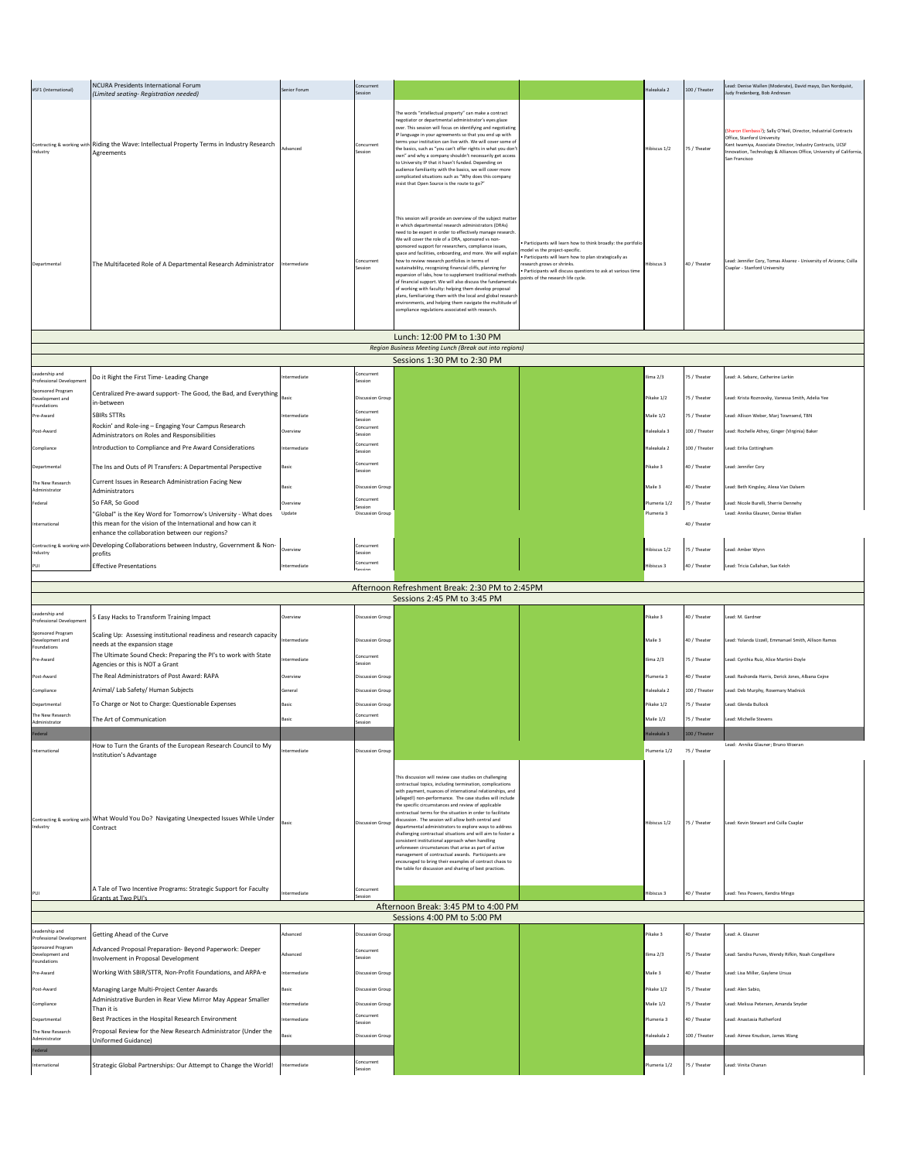| #SF1 (International)                         | <b>NCURA Presidents International Forum</b><br>(Limited seating- Registration needed)                           | ienior Forum        | Concurrent<br>ession                  |                                                                                                                                                                                                                                                                                                                                                                                                                                                                                                                                                                                                                                                                                                                                                                                                                                                |                                                                                                                                                                                                                                                                                     | taleakala 2                | 100 / Theater                 | Lead: Denise Wallen (Moderate), David mayo, Dan Nordquist,<br>ludy Fredenberg, Bob Andresen                                                                                                                                                        |  |
|----------------------------------------------|-----------------------------------------------------------------------------------------------------------------|---------------------|---------------------------------------|------------------------------------------------------------------------------------------------------------------------------------------------------------------------------------------------------------------------------------------------------------------------------------------------------------------------------------------------------------------------------------------------------------------------------------------------------------------------------------------------------------------------------------------------------------------------------------------------------------------------------------------------------------------------------------------------------------------------------------------------------------------------------------------------------------------------------------------------|-------------------------------------------------------------------------------------------------------------------------------------------------------------------------------------------------------------------------------------------------------------------------------------|----------------------------|-------------------------------|----------------------------------------------------------------------------------------------------------------------------------------------------------------------------------------------------------------------------------------------------|--|
|                                              |                                                                                                                 |                     |                                       |                                                                                                                                                                                                                                                                                                                                                                                                                                                                                                                                                                                                                                                                                                                                                                                                                                                |                                                                                                                                                                                                                                                                                     |                            |                               |                                                                                                                                                                                                                                                    |  |
| Contracting & working with<br>Industry       | Riding the Wave: Intellectual Property Terms in Industry Research<br>Agreements                                 | dvanced             | Concurrent<br>ession                  | The words "intellectual property" can make a contract<br>egotiator or departmental administrator's eyes glaze<br>over. This session will focus on identifying and negotiating<br>IP language in your agreements so that you end up with<br>erms your institution can live with. We will cover some of<br>the basics, such as "you can't offer rights in what you don't<br>own" and why a company shouldn't necessarily get access<br>to University IP that it hasn't funded. Depending on<br>audience familiarity with the basics, we will cover more<br>omplicated situations such as "Why does this company<br>insist that Open Source is the route to go?"                                                                                                                                                                                  |                                                                                                                                                                                                                                                                                     | Hibiscus 1/2               | 75 / Theater                  | haron Elenbass?); Sally O'Neil, Director, Industrial Contracts<br>Office, Stanford University<br>Kent Iwamiya, Associate Director, Industry Contracts, UCSF<br>nnovation, Technology & Alliances Office, University of California<br>San Francisco |  |
| Departmental                                 | The Multifaceted Role of A Departmental Research Administrator                                                  | Intermediate        | oncurrent<br>ession                   | This session will provide an overview of the subject matte<br>n which departmental research administrators (DRAs)<br>heed to be expert in order to effectively manage research<br>We will cover the role of a DRA, sponsored vs non-<br>sponsored support for researchers, compliance issues,<br>space and facilities, onboarding, and more. We will explain<br>ow to review research portfolios in terms of<br>sustainability, recognizing financial cliffs, planning for<br>expansion of labs, how to supplement traditional methods<br>of financial support. We will also discuss the fundamentals<br>of working with faculty: helping them develop proposal<br>plans, familiarizing them with the local and global research<br>nvironments, and helping them navigate the multitude of<br>compliance regulations associated with research. | Participants will learn how to think broadly: the portfoli<br>nodel vs the project-specific.<br>Participants will learn how to plan strategically as<br>esearch grows or shrinks.<br>Participants will discuss questions to ask at various time<br>oints of the research life cycle | libiscus 3                 | 40 / Theater                  | Lead: Jennifer Cory, Tomas Alvarez - University of Arizona; Csilla<br>Saplar - Stanford University                                                                                                                                                 |  |
|                                              |                                                                                                                 |                     |                                       | Lunch: 12:00 PM to 1:30 PM                                                                                                                                                                                                                                                                                                                                                                                                                                                                                                                                                                                                                                                                                                                                                                                                                     |                                                                                                                                                                                                                                                                                     |                            |                               |                                                                                                                                                                                                                                                    |  |
|                                              |                                                                                                                 |                     |                                       | Region Business Meeting Lunch (Break out into regions)<br>Sessions 1:30 PM to 2:30 PM                                                                                                                                                                                                                                                                                                                                                                                                                                                                                                                                                                                                                                                                                                                                                          |                                                                                                                                                                                                                                                                                     |                            |                               |                                                                                                                                                                                                                                                    |  |
| Leadership and                               | Do it Right the First Time- Leading Change                                                                      | Intermediate        | Concurrent                            |                                                                                                                                                                                                                                                                                                                                                                                                                                                                                                                                                                                                                                                                                                                                                                                                                                                |                                                                                                                                                                                                                                                                                     | lima 2/3                   | 75 / Theater                  |                                                                                                                                                                                                                                                    |  |
| Professional Developmen<br>Sponsored Program |                                                                                                                 |                     | iession                               |                                                                                                                                                                                                                                                                                                                                                                                                                                                                                                                                                                                                                                                                                                                                                                                                                                                |                                                                                                                                                                                                                                                                                     |                            |                               | Lead: A. Sebanc, Catherine Larkin                                                                                                                                                                                                                  |  |
| Development and<br>Foundations               | Centralized Pre-award support- The Good, the Bad, and Everything<br>in-between                                  | Basic               | <b>Discussion Group</b>               |                                                                                                                                                                                                                                                                                                                                                                                                                                                                                                                                                                                                                                                                                                                                                                                                                                                |                                                                                                                                                                                                                                                                                     | Pikake 1/2                 | 75 / Theater                  | Lead: Krista Roznovsky, Vanessa Smith, Adelia Yee                                                                                                                                                                                                  |  |
| Pre-Award                                    | <b>SBIRS STTRS</b>                                                                                              | Intermediate        | oncurrent<br>ssion                    |                                                                                                                                                                                                                                                                                                                                                                                                                                                                                                                                                                                                                                                                                                                                                                                                                                                |                                                                                                                                                                                                                                                                                     | Maile 1/2                  | 75 / Theater                  | Lead: Allison Weber, Mari Townsend, TBN                                                                                                                                                                                                            |  |
| Post-Award                                   | Rockin' and Role-ing - Engaging Your Campus Research<br>Administrators on Roles and Responsibilities            | Overview            | oncurrent<br>ession                   |                                                                                                                                                                                                                                                                                                                                                                                                                                                                                                                                                                                                                                                                                                                                                                                                                                                |                                                                                                                                                                                                                                                                                     | Haleakala 3                | 100 / Theater                 | Lead: Rochelle Athey, Ginger (Virginia) Baker                                                                                                                                                                                                      |  |
| Compliance                                   | Introduction to Compliance and Pre Award Considerations                                                         | Intermediate        | oncurrent<br>Session                  |                                                                                                                                                                                                                                                                                                                                                                                                                                                                                                                                                                                                                                                                                                                                                                                                                                                |                                                                                                                                                                                                                                                                                     | Haleakala 2                | 100 / Theater                 | Lead: Erika Cottingham                                                                                                                                                                                                                             |  |
| Departmental                                 | The Ins and Outs of PI Transfers: A Departmental Perspective                                                    | Basic               | Concurrent<br>ession                  |                                                                                                                                                                                                                                                                                                                                                                                                                                                                                                                                                                                                                                                                                                                                                                                                                                                |                                                                                                                                                                                                                                                                                     | Pikake 3                   | 40 / Theater                  | Lead: Jennifer Cory                                                                                                                                                                                                                                |  |
| The New Research                             | Current Issues in Research Administration Facing New                                                            |                     |                                       |                                                                                                                                                                                                                                                                                                                                                                                                                                                                                                                                                                                                                                                                                                                                                                                                                                                |                                                                                                                                                                                                                                                                                     |                            |                               |                                                                                                                                                                                                                                                    |  |
| Administrator                                | Administrators                                                                                                  | Basic               | <b>Discussion Group</b><br>concurrent |                                                                                                                                                                                                                                                                                                                                                                                                                                                                                                                                                                                                                                                                                                                                                                                                                                                |                                                                                                                                                                                                                                                                                     | Maile 3                    | 40 / Theater                  | Lead: Beth Kingsley, Alexa Van Dalsem                                                                                                                                                                                                              |  |
| Federal                                      | So FAR, So Good<br>"Global" is the Key Word for Tomorrow's University - What does                               | Overview<br>Update  | Session<br><b>Discussion Group</b>    |                                                                                                                                                                                                                                                                                                                                                                                                                                                                                                                                                                                                                                                                                                                                                                                                                                                |                                                                                                                                                                                                                                                                                     | Plumeria 1/2<br>Plumeria 3 | 75 / Theater                  | Lead: Nicole Burelli, Sherrie Dennehy<br>Lead: Annika Glauner, Denise Wallen                                                                                                                                                                       |  |
| International                                | this mean for the vision of the International and how can it                                                    |                     |                                       |                                                                                                                                                                                                                                                                                                                                                                                                                                                                                                                                                                                                                                                                                                                                                                                                                                                |                                                                                                                                                                                                                                                                                     |                            | 40 / Theater                  |                                                                                                                                                                                                                                                    |  |
| Contracting & working witl                   | enhance the collaboration between our regions?<br>Developing Collaborations between Industry, Government & Non- |                     | Concurrent                            |                                                                                                                                                                                                                                                                                                                                                                                                                                                                                                                                                                                                                                                                                                                                                                                                                                                |                                                                                                                                                                                                                                                                                     |                            |                               |                                                                                                                                                                                                                                                    |  |
| Industry                                     | profits                                                                                                         | Overview            | Session<br>Concurrent                 |                                                                                                                                                                                                                                                                                                                                                                                                                                                                                                                                                                                                                                                                                                                                                                                                                                                |                                                                                                                                                                                                                                                                                     | Hibiscus 1/2               | 75 / Theater                  | Lead: Amber Wynn                                                                                                                                                                                                                                   |  |
| PUI                                          | <b>Effective Presentations</b>                                                                                  | Intermediate        |                                       |                                                                                                                                                                                                                                                                                                                                                                                                                                                                                                                                                                                                                                                                                                                                                                                                                                                |                                                                                                                                                                                                                                                                                     | Hibiscus 3                 | 40 / Theater                  | Lead: Tricia Callahan, Sue Kelch                                                                                                                                                                                                                   |  |
|                                              | Afternoon Refreshment Break: 2:30 PM to 2:45PM                                                                  |                     |                                       |                                                                                                                                                                                                                                                                                                                                                                                                                                                                                                                                                                                                                                                                                                                                                                                                                                                |                                                                                                                                                                                                                                                                                     |                            |                               |                                                                                                                                                                                                                                                    |  |
|                                              |                                                                                                                 |                     |                                       |                                                                                                                                                                                                                                                                                                                                                                                                                                                                                                                                                                                                                                                                                                                                                                                                                                                |                                                                                                                                                                                                                                                                                     |                            |                               |                                                                                                                                                                                                                                                    |  |
|                                              |                                                                                                                 |                     |                                       | Sessions 2:45 PM to 3:45 PM                                                                                                                                                                                                                                                                                                                                                                                                                                                                                                                                                                                                                                                                                                                                                                                                                    |                                                                                                                                                                                                                                                                                     |                            |                               |                                                                                                                                                                                                                                                    |  |
| Leadership and<br>Professional Develop       | 5 Easy Hacks to Transform Training Impact                                                                       | Overview            | Discussion Group                      |                                                                                                                                                                                                                                                                                                                                                                                                                                                                                                                                                                                                                                                                                                                                                                                                                                                |                                                                                                                                                                                                                                                                                     | Pikake 3                   | 40 / Theater                  | ead: M. Gardner                                                                                                                                                                                                                                    |  |
| Sponsored Program<br>Development and         | Scaling Up: Assessing institutional readiness and research capacity<br>needs at the expansion stage             | <b>Intermediate</b> | Discussion Group                      |                                                                                                                                                                                                                                                                                                                                                                                                                                                                                                                                                                                                                                                                                                                                                                                                                                                |                                                                                                                                                                                                                                                                                     | Maile 3                    | 40 / Theater                  | ead: Yolanda Uzzell, Emmanuel Smith, Allison Ramos                                                                                                                                                                                                 |  |
| Foundations                                  | The Ultimate Sound Check: Preparing the PI's to work with State                                                 | <b>Intermediate</b> | concurrent                            |                                                                                                                                                                                                                                                                                                                                                                                                                                                                                                                                                                                                                                                                                                                                                                                                                                                |                                                                                                                                                                                                                                                                                     |                            | 75 / Theater                  |                                                                                                                                                                                                                                                    |  |
| Pre-Award                                    | Agencies or this is NOT a Grant                                                                                 |                     | Session                               |                                                                                                                                                                                                                                                                                                                                                                                                                                                                                                                                                                                                                                                                                                                                                                                                                                                |                                                                                                                                                                                                                                                                                     | Ilima 2/3                  |                               | Lead: Cynthia Ruiz, Alice Martini-Doyle                                                                                                                                                                                                            |  |
| Post-Award<br>Compliance                     | The Real Administrators of Post Award: RAPA                                                                     | Overview<br>General | Discussion Group<br>Discussion Group  |                                                                                                                                                                                                                                                                                                                                                                                                                                                                                                                                                                                                                                                                                                                                                                                                                                                |                                                                                                                                                                                                                                                                                     | Plumeria 3                 | 40 / Theater                  | Lead: Rashonda Harris, Derick Jones, Albana Cejne<br>Lead: Deb Murphy, Rosemary Madnick                                                                                                                                                            |  |
| Departmental                                 | Animal/ Lab Safety/ Human Subjects<br>To Charge or Not to Charge: Questionable Expenses                         | Basic               | iscussion Group                       |                                                                                                                                                                                                                                                                                                                                                                                                                                                                                                                                                                                                                                                                                                                                                                                                                                                |                                                                                                                                                                                                                                                                                     | Haleakala 2<br>Pikake 1/2  | 100 / Theater<br>75 / Theater | Lead: Glenda Bullock                                                                                                                                                                                                                               |  |
| The New Research                             | The Art of Communication                                                                                        | Basic               | oncurrent                             |                                                                                                                                                                                                                                                                                                                                                                                                                                                                                                                                                                                                                                                                                                                                                                                                                                                |                                                                                                                                                                                                                                                                                     | Maile 1/2                  | 75 / Theater                  | Lead: Michelle Stevens                                                                                                                                                                                                                             |  |
| Administrator                                |                                                                                                                 |                     | ession                                |                                                                                                                                                                                                                                                                                                                                                                                                                                                                                                                                                                                                                                                                                                                                                                                                                                                |                                                                                                                                                                                                                                                                                     | kala 3                     | 100 / Theat                   |                                                                                                                                                                                                                                                    |  |
| International                                | How to Turn the Grants of the European Research Council to My<br>Institution's Advantage                        | ntermediate         | <b>Discussion Group</b>               |                                                                                                                                                                                                                                                                                                                                                                                                                                                                                                                                                                                                                                                                                                                                                                                                                                                |                                                                                                                                                                                                                                                                                     | Plumeria 1/2               | 75 / Theater                  | Lead: Annika Glauner; Bruno Woeran                                                                                                                                                                                                                 |  |
| Contracting & working with<br>Industry       | What Would You Do? Navigating Unexpected Issues While Under<br>Contract                                         | <b>Basic</b>        | scussion Group                        | This discussion will review case studies on challenging<br>ontractual topics, including termination, complications<br>with payment, nuances of international relationships, and<br>(alleged!) non-performance. The case studies will include<br>the specific circumstances and review of applicable<br>ontractual terms for the situation in order to facilitate<br>discussion. The session will allow both central and<br>departmental administrators to explore ways to address<br>challenging contractual situations and will aim to foster a<br>consistent institutional approach when handling<br>unforeseen circumstances that arise as part of active<br>nanagement of contractual awards. Participants are<br>encouraged to bring their examples of contract chaos to                                                                  |                                                                                                                                                                                                                                                                                     | Hibiscus 1/2               | 75 / Theater                  | ead: Kevin Stewart and Csilla Csaplar                                                                                                                                                                                                              |  |
| PUI                                          | A Tale of Two Incentive Programs: Strategic Support for Faculty<br>rants at Two PUI's                           | ntermediate         | oncurrent                             | the table for discussion and sharing of best practices.                                                                                                                                                                                                                                                                                                                                                                                                                                                                                                                                                                                                                                                                                                                                                                                        |                                                                                                                                                                                                                                                                                     | Hibiscus 3                 | 40 / Theater                  | ead: Tess Powers, Kendra Mingo                                                                                                                                                                                                                     |  |
|                                              |                                                                                                                 |                     |                                       | Afternoon Break: 3:45 PM to 4:00 PM                                                                                                                                                                                                                                                                                                                                                                                                                                                                                                                                                                                                                                                                                                                                                                                                            |                                                                                                                                                                                                                                                                                     |                            |                               |                                                                                                                                                                                                                                                    |  |
| Leadership and                               |                                                                                                                 | Advanced            | <b>Discussion Group</b>               | Sessions 4:00 PM to 5:00 PM                                                                                                                                                                                                                                                                                                                                                                                                                                                                                                                                                                                                                                                                                                                                                                                                                    |                                                                                                                                                                                                                                                                                     | Pikake 3                   | 40 / Theater                  | Lead: A. Glauner                                                                                                                                                                                                                                   |  |
| Professional Developmer<br>Sponsored Program | <b>Getting Ahead of the Curve</b>                                                                               |                     |                                       |                                                                                                                                                                                                                                                                                                                                                                                                                                                                                                                                                                                                                                                                                                                                                                                                                                                |                                                                                                                                                                                                                                                                                     |                            |                               |                                                                                                                                                                                                                                                    |  |
| Development and<br>Foundations               | Advanced Proposal Preparation- Beyond Paperwork: Deeper<br>Involvement in Proposal Development                  | Advanced            | ioncurrent<br>ession                  |                                                                                                                                                                                                                                                                                                                                                                                                                                                                                                                                                                                                                                                                                                                                                                                                                                                |                                                                                                                                                                                                                                                                                     | lima 2/3                   | 75 / Theater                  | Lead: Sandra Purves, Wendy Rifkin, Noah Congelliere                                                                                                                                                                                                |  |
| Pre-Award                                    | Working With SBIR/STTR, Non-Profit Foundations, and ARPA-e                                                      | Intermediate        | iscussion Group                       |                                                                                                                                                                                                                                                                                                                                                                                                                                                                                                                                                                                                                                                                                                                                                                                                                                                |                                                                                                                                                                                                                                                                                     | Maile 3                    | 40 / Theater                  | ead: Lisa Miller, Gaylene Ursua                                                                                                                                                                                                                    |  |
| Post-Award                                   | Managing Large Multi-Project Center Awards                                                                      | Basic               | <b>Discussion Group</b>               |                                                                                                                                                                                                                                                                                                                                                                                                                                                                                                                                                                                                                                                                                                                                                                                                                                                |                                                                                                                                                                                                                                                                                     | Pikake 1/2                 | 75 / Theater                  | Lead: Alen Sabio.                                                                                                                                                                                                                                  |  |
| Compliance                                   | Administrative Burden in Rear View Mirror May Appear Smaller<br>Than it is                                      | Intermediate        | iscussion Group                       |                                                                                                                                                                                                                                                                                                                                                                                                                                                                                                                                                                                                                                                                                                                                                                                                                                                |                                                                                                                                                                                                                                                                                     | Maile 1/2                  | 75 / Theater                  | Lead: Melissa Petersen, Amanda Snyder                                                                                                                                                                                                              |  |
| Departmental                                 | Best Practices in the Hospital Research Environment                                                             | Intermediate        | oncurrent<br>ession                   |                                                                                                                                                                                                                                                                                                                                                                                                                                                                                                                                                                                                                                                                                                                                                                                                                                                |                                                                                                                                                                                                                                                                                     | lumeria 3                  | 40 / Theater                  | Lead: Anastasia Rutherford                                                                                                                                                                                                                         |  |
| The New Research<br>Administrator<br>Federal | Proposal Review for the New Research Administrator (Under the<br>Uniformed Guidance)                            | Basic               | iscussion Group                       |                                                                                                                                                                                                                                                                                                                                                                                                                                                                                                                                                                                                                                                                                                                                                                                                                                                |                                                                                                                                                                                                                                                                                     | Haleakala 2                | 100 / Theater                 | Lead: Aimee Knudson, James Wang                                                                                                                                                                                                                    |  |